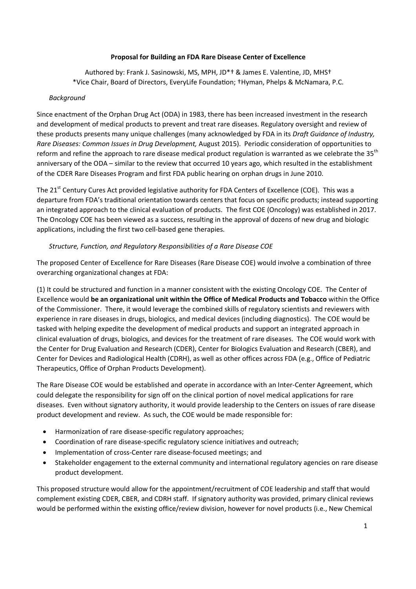## **Proposal for Building an FDA Rare Disease Center of Excellence**

Authored by: Frank J. Sasinowski, MS, MPH, JD\*† & James E. Valentine, JD, MHS† \*Vice Chair, Board of Directors, EveryLife Foundation; †Hyman, Phelps & McNamara, P.C.

## *Background*

Since enactment of the Orphan Drug Act (ODA) in 1983, there has been increased investment in the research and development of medical products to prevent and treat rare diseases. Regulatory oversight and review of these products presents many unique challenges (many acknowledged by FDA in its *Draft Guidance of Industry, Rare Diseases: Common Issues in Drug Development,* August 2015). Periodic consideration of opportunities to reform and refine the approach to rare disease medical product regulation is warranted as we celebrate the 35<sup>th</sup> anniversary of the ODA – similar to the review that occurred 10 years ago, which resulted in the establishment of the CDER Rare Diseases Program and first FDA public hearing on orphan drugs in June 2010.

The 21<sup>st</sup> Century Cures Act provided legislative authority for FDA Centers of Excellence (COE). This was a departure from FDA's traditional orientation towards centers that focus on specific products; instead supporting an integrated approach to the clinical evaluation of products. The first COE (Oncology) was established in 2017. The Oncology COE has been viewed as a success, resulting in the approval of dozens of new drug and biologic applications, including the first two cell-based gene therapies.

## *Structure, Function, and Regulatory Responsibilities of a Rare Disease COE*

The proposed Center of Excellence for Rare Diseases (Rare Disease COE) would involve a combination of three overarching organizational changes at FDA:

(1) It could be structured and function in a manner consistent with the existing Oncology COE. The Center of Excellence would **be an organizational unit within the Office of Medical Products and Tobacco** within the Office of the Commissioner. There, it would leverage the combined skills of regulatory scientists and reviewers with experience in rare diseases in drugs, biologics, and medical devices (including diagnostics). The COE would be tasked with helping expedite the development of medical products and support an integrated approach in clinical evaluation of drugs, biologics, and devices for the treatment of rare diseases. The COE would work with the Center for Drug Evaluation and Research (CDER), Center for Biologics Evaluation and Research (CBER), and Center for Devices and Radiological Health (CDRH), as well as other offices across FDA (e.g., Office of Pediatric Therapeutics, Office of Orphan Products Development).

The Rare Disease COE would be established and operate in accordance with an Inter-Center Agreement, which could delegate the responsibility for sign off on the clinical portion of novel medical applications for rare diseases. Even without signatory authority, it would provide leadership to the Centers on issues of rare disease product development and review. As such, the COE would be made responsible for:

- Harmonization of rare disease-specific regulatory approaches;
- Coordination of rare disease-specific regulatory science initiatives and outreach;
- Implementation of cross-Center rare disease-focused meetings; and
- Stakeholder engagement to the external community and international regulatory agencies on rare disease product development.

This proposed structure would allow for the appointment/recruitment of COE leadership and staff that would complement existing CDER, CBER, and CDRH staff. If signatory authority was provided, primary clinical reviews would be performed within the existing office/review division, however for novel products (i.e., New Chemical